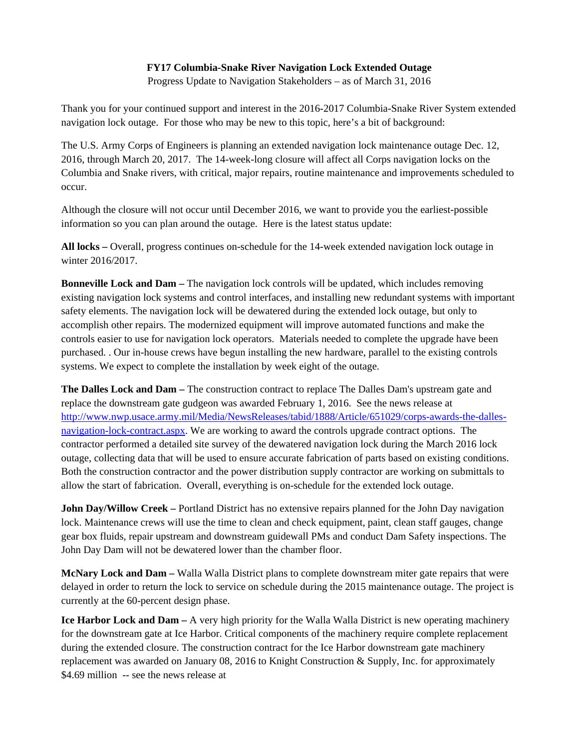## **FY17 Columbia-Snake River Navigation Lock Extended Outage**

Progress Update to Navigation Stakeholders – as of March 31, 2016

Thank you for your continued support and interest in the 2016-2017 Columbia-Snake River System extended navigation lock outage. For those who may be new to this topic, here's a bit of background:

The U.S. Army Corps of Engineers is planning an extended navigation lock maintenance outage Dec. 12, 2016, through March 20, 2017. The 14-week-long closure will affect all Corps navigation locks on the Columbia and Snake rivers, with critical, major repairs, routine maintenance and improvements scheduled to occur.

Although the closure will not occur until December 2016, we want to provide you the earliest-possible information so you can plan around the outage. Here is the latest status update:

**All locks –** Overall, progress continues on-schedule for the 14-week extended navigation lock outage in winter 2016/2017.

**Bonneville Lock and Dam –** The navigation lock controls will be updated, which includes removing existing navigation lock systems and control interfaces, and installing new redundant systems with important safety elements. The navigation lock will be dewatered during the extended lock outage, but only to accomplish other repairs. The modernized equipment will improve automated functions and make the controls easier to use for navigation lock operators. Materials needed to complete the upgrade have been purchased. . Our in-house crews have begun installing the new hardware, parallel to the existing controls systems. We expect to complete the installation by week eight of the outage.

**The Dalles Lock and Dam –** The construction contract to replace The Dalles Dam's upstream gate and replace the downstream gate gudgeon was awarded February 1, 2016. See the news release at http://www.nwp.usace.army.mil/Media/NewsReleases/tabid/1888/Article/651029/corps-awards-the-dallesnavigation-lock-contract.aspx. We are working to award the controls upgrade contract options. The contractor performed a detailed site survey of the dewatered navigation lock during the March 2016 lock outage, collecting data that will be used to ensure accurate fabrication of parts based on existing conditions. Both the construction contractor and the power distribution supply contractor are working on submittals to allow the start of fabrication. Overall, everything is on-schedule for the extended lock outage.

**John Day/Willow Creek –** Portland District has no extensive repairs planned for the John Day navigation lock. Maintenance crews will use the time to clean and check equipment, paint, clean staff gauges, change gear box fluids, repair upstream and downstream guidewall PMs and conduct Dam Safety inspections. The John Day Dam will not be dewatered lower than the chamber floor.

**McNary Lock and Dam –** Walla Walla District plans to complete downstream miter gate repairs that were delayed in order to return the lock to service on schedule during the 2015 maintenance outage. The project is currently at the 60-percent design phase.

**Ice Harbor Lock and Dam –** A very high priority for the Walla Walla District is new operating machinery for the downstream gate at Ice Harbor. Critical components of the machinery require complete replacement during the extended closure. The construction contract for the Ice Harbor downstream gate machinery replacement was awarded on January 08, 2016 to Knight Construction & Supply, Inc. for approximately \$4.69 million -- see the news release at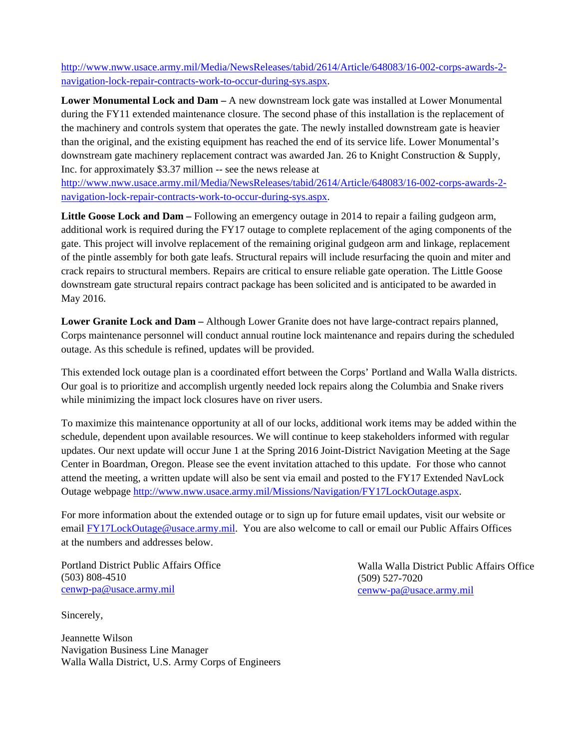http://www.nww.usace.army.mil/Media/NewsReleases/tabid/2614/Article/648083/16-002-corps-awards-2 navigation-lock-repair-contracts-work-to-occur-during-sys.aspx.

**Lower Monumental Lock and Dam –** A new downstream lock gate was installed at Lower Monumental during the FY11 extended maintenance closure. The second phase of this installation is the replacement of the machinery and controls system that operates the gate. The newly installed downstream gate is heavier than the original, and the existing equipment has reached the end of its service life. Lower Monumental's downstream gate machinery replacement contract was awarded Jan. 26 to Knight Construction & Supply, Inc. for approximately \$3.37 million -- see the news release at

http://www.nww.usace.army.mil/Media/NewsReleases/tabid/2614/Article/648083/16-002-corps-awards-2 navigation-lock-repair-contracts-work-to-occur-during-sys.aspx.

**Little Goose Lock and Dam –** Following an emergency outage in 2014 to repair a failing gudgeon arm, additional work is required during the FY17 outage to complete replacement of the aging components of the gate. This project will involve replacement of the remaining original gudgeon arm and linkage, replacement of the pintle assembly for both gate leafs. Structural repairs will include resurfacing the quoin and miter and crack repairs to structural members. Repairs are critical to ensure reliable gate operation. The Little Goose downstream gate structural repairs contract package has been solicited and is anticipated to be awarded in May 2016.

**Lower Granite Lock and Dam –** Although Lower Granite does not have large-contract repairs planned, Corps maintenance personnel will conduct annual routine lock maintenance and repairs during the scheduled outage. As this schedule is refined, updates will be provided.

This extended lock outage plan is a coordinated effort between the Corps' Portland and Walla Walla districts. Our goal is to prioritize and accomplish urgently needed lock repairs along the Columbia and Snake rivers while minimizing the impact lock closures have on river users.

To maximize this maintenance opportunity at all of our locks, additional work items may be added within the schedule, dependent upon available resources. We will continue to keep stakeholders informed with regular updates. Our next update will occur June 1 at the Spring 2016 Joint-District Navigation Meeting at the Sage Center in Boardman, Oregon. Please see the event invitation attached to this update. For those who cannot attend the meeting, a written update will also be sent via email and posted to the FY17 Extended NavLock Outage webpage http://www.nww.usace.army.mil/Missions/Navigation/FY17LockOutage.aspx.

For more information about the extended outage or to sign up for future email updates, visit our website or email FY17LockOutage@usace.army.mil. You are also welcome to call or email our Public Affairs Offices at the numbers and addresses below.

Portland District Public Affairs Office (503) 808-4510 cenwp-pa@usace.army.mil

Walla Walla District Public Affairs Office (509) 527-7020 cenww-pa@usace.army.mil

Sincerely,

Jeannette Wilson Navigation Business Line Manager Walla Walla District, U.S. Army Corps of Engineers